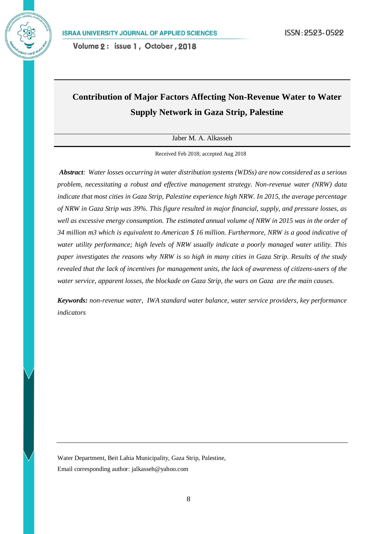# **Contribution of Major Factors Affecting Non-Revenue Water to Water Supply Network in Gaza Strip, Palestine**

Jaber M. A. Alkasseh

Received Feb 2018; accepted Aug 2018

*Abstract: Water losses occurring in water distribution systems (WDSs) are now considered as a serious problem, necessitating a robust and effective management strategy. Non-revenue water (NRW) data indicate that most cities in Gaza Strip, Palestine experience high NRW. In 2015, the average percentage of NRW in Gaza Strip was 39%. This figure resulted in major financial, supply, and pressure losses, as*  well as excessive energy consumption. The estimated annual volume of NRW in 2015 was in the order of *34 million m3 which is equivalent to American \$ 16 million. Furthermore, NRW is a good indicative of water utility performance; high levels of NRW usually indicate a poorly managed water utility. This paper investigates the reasons why NRW is so high in many cities in Gaza Strip. Results of the study revealed that the lack of incentives for management units, the lack of awareness of citizens-users of the water service, apparent losses, the blockade on Gaza Strip, the wars on Gaza are the main causes.*

*Keywords: non-revenue water, IWA standard water balance, water service providers, key performance indicators*

Water Department, Beit Lahia Municipality, Gaza Strip, Palestine, Email corresponding author[: jalkasseh@yahoo.com](mailto:jalkasseh@yahoo.com)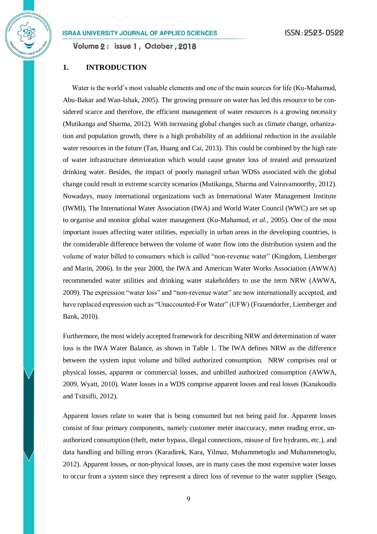Volume 2: issue 1, October, 2018

# **1. INTRODUCTION**

Water is the world's most valuable elements and one of the main sources for life (Ku-Mahamud, Abu-Bakar and Wan-Ishak, 2005). The growing pressure on water has led this resource to be considered scarce and therefore, the efficient management of water resources is a growing necessity (Mutikanga and Sharma, 2012). With increasing global changes such as climate change, urbanization and population growth, there is a high probability of an additional reduction in the available water resources in the future (Tan, Huang and Cai, 2013). This could be combined by the high rate of water infrastructure deterioration which would cause greater loss of treated and pressurized drinking water. Besides, the impact of poorly managed urban WDSs associated with the global change could result in extreme scarcity scenarios (Mutikanga, Sharma and Vairavamoorthy, 2012). Nowadays, many international organizations such as International Water Management Institute (IWMI), The International Water Association (IWA) and World Water Council (WWC) are set up to organise and monitor global water management (Ku-Mahamud*, et al.*, 2005). One of the most important issues affecting water utilities, especially in urban areas in the developing countries, is the considerable difference between the volume of water flow into the distribution system and the volume of water billed to consumers which is called "non-revenue water" (Kingdom, Liemberger and Marin, 2006). In the year 2000, the IWA and American Water Works Association (AWWA) recommended water utilities and drinking water stakeholders to use the term NRW (AWWA, 2009). The expression "water loss" and "non-revenue water" are now internationally accepted, and have replaced expression such as "Unaccounted-For Water" (UFW) (Frauendorfer, Liemberger and Bank, 2010).

Furthermore, the most widely accepted framework for describing NRW and determination of water loss is the IWA Water Balance, as shown in Table 1. The IWA defines NRW as the difference between the system input volume and billed authorized consumption. NRW comprises real or physical losses, apparent or commercial losses, and unbilled authorized consumption (AWWA, 2009, Wyatt, 2010). Water losses in a WDS comprise apparent losses and real losses (Kanakoudis and Tsitsifli, 2012).

Apparent losses relate to water that is being consumed but not being paid for. Apparent losses consist of four primary components, namely customer meter inaccuracy, meter reading error, unauthorized consumption (theft, meter bypass, illegal connections, misuse of fire hydrants, etc.), and data handling and billing errors (Karadirek, Kara, Yilmaz, Muhammetoglu and Muhammetoglu, 2012). Apparent losses, or non-physical losses, are in many cases the most expensive water losses to occur from a system since they represent a direct loss of revenue to the water supplier (Seago,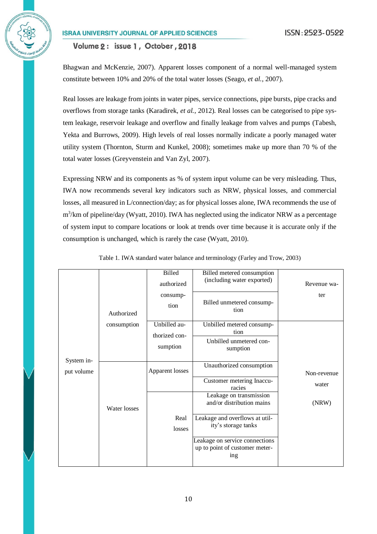Volume 2: issue 1, October, 2018

Bhagwan and McKenzie, 2007). Apparent losses component of a normal well-managed system constitute between 10% and 20% of the total water losses (Seago*, et al.*, 2007).

Real losses are leakage from joints in water pipes, service connections, pipe bursts, pipe cracks and overflows from storage tanks (Karadirek*, et al.*, 2012). Real losses can be categorised to pipe system leakage, reservoir leakage and overflow and finally leakage from valves and pumps (Tabesh, Yekta and Burrows, 2009). High levels of real losses normally indicate a poorly managed water utility system (Thornton, Sturm and Kunkel, 2008); sometimes make up more than 70 % of the total water losses (Greyvenstein and Van Zyl, 2007).

Expressing NRW and its components as % of system input volume can be very misleading. Thus, IWA now recommends several key indicators such as NRW, physical losses, and commercial losses, all measured in L/connection/day; as for physical losses alone, IWA recommends the use of m<sup>3</sup>/km of pipeline/day (Wyatt, 2010). IWA has neglected using the indicator NRW as a percentage of system input to compare locations or look at trends over time because it is accurate only if the consumption is unchanged, which is rarely the case (Wyatt, 2010).

|                          | Authorized   | <b>Billed</b><br>authorized<br>consump-<br>tion | Billed metered consumption<br>(including water exported)<br>Billed unmetered consump-<br>tion | Revenue wa-<br>ter |
|--------------------------|--------------|-------------------------------------------------|-----------------------------------------------------------------------------------------------|--------------------|
| System in-<br>put volume | consumption  | Unbilled au-                                    | Unbilled metered consump-<br>tion                                                             |                    |
|                          |              | thorized con-<br>sumption                       | Unbilled unmetered con-<br>sumption                                                           |                    |
|                          | Water losses | Apparent losses                                 | Unauthorized consumption                                                                      | Non-revenue        |
|                          |              |                                                 | Customer metering Inaccu-<br>racies                                                           | water              |
|                          |              |                                                 | Leakage on transmission<br>and/or distribution mains                                          | (NRW)              |
|                          |              | Real<br>losses                                  | Leakage and overflows at util-<br>ity's storage tanks                                         |                    |
|                          |              |                                                 | Leakage on service connections<br>up to point of customer meter-<br>ing                       |                    |

Table 1. IWA standard water balance and terminology (Farley and Trow, 2003)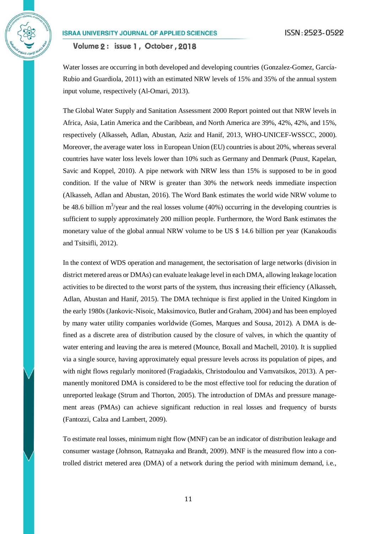Volume 2: issue 1, October, 2018

Water losses are occurring in both developed and developing countries (Gonzalez-Gomez, García-Rubio and Guardiola, 2011) with an estimated NRW levels of 15% and 35% of the annual system input volume, respectively (Al-Omari, 2013).

The Global Water Supply and Sanitation Assessment 2000 Report pointed out that NRW levels in Africa, Asia, Latin America and the Caribbean, and North America are 39%, 42%, 42%, and 15%, respectively (Alkasseh, Adlan, Abustan, Aziz and Hanif, 2013, WHO-UNICEF-WSSCC, 2000). Moreover, the average water loss in European Union (EU) countries is about 20%, whereas several countries have water loss levels lower than 10% such as Germany and Denmark (Puust, Kapelan, Savic and Koppel, 2010). A pipe network with NRW less than 15% is supposed to be in good condition. If the value of NRW is greater than 30% the network needs immediate inspection (Alkasseh, Adlan and Abustan, 2016). The Word Bank estimates the world wide NRW volume to be 48.6 billion  $m^3$ /year and the real losses volume (40%) occurring in the developing countries is sufficient to supply approximately 200 million people. Furthermore, the Word Bank estimates the monetary value of the global annual NRW volume to be US \$ 14.6 billion per year (Kanakoudis and Tsitsifli, 2012).

In the context of WDS operation and management, the sectorisation of large networks (division in district metered areas or DMAs) can evaluate leakage level in each DMA, allowing leakage location activities to be directed to the worst parts of the system, thus increasing their efficiency (Alkasseh, Adlan, Abustan and Hanif, 2015). The DMA technique is first applied in the United Kingdom in the early 1980s (Jankovic-Nisoic, Maksimovico, Butler and Graham, 2004) and has been employed by many water utility companies worldwide (Gomes, Marques and Sousa, 2012). A DMA is defined as a discrete area of distribution caused by the closure of valves, in which the quantity of water entering and leaving the area is metered (Mounce, Boxall and Machell, 2010). It is supplied via a single source, having approximately equal pressure levels across its population of pipes, and with night flows regularly monitored (Fragiadakis, Christodoulou and Vamvatsikos, 2013). A permanently monitored DMA is considered to be the most effective tool for reducing the duration of unreported leakage (Strum and Thorton, 2005). The introduction of DMAs and pressure management areas (PMAs) can achieve significant reduction in real losses and frequency of bursts (Fantozzi, Calza and Lambert, 2009).

To estimate real losses, minimum night flow (MNF) can be an indicator of distribution leakage and consumer wastage (Johnson, Ratnayaka and Brandt, 2009). MNF is the measured flow into a controlled district metered area (DMA) of a network during the period with minimum demand, i.e.,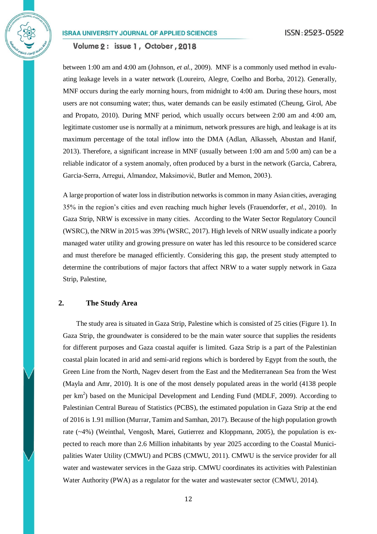Volume 2: issue 1, October, 2018

between 1:00 am and 4:00 am (Johnson*, et al.*, 2009). MNF is a commonly used method in evaluating leakage levels in a water network (Loureiro, Alegre, Coelho and Borba, 2012). Generally, MNF occurs during the early morning hours, from midnight to 4:00 am. During these hours, most users are not consuming water; thus, water demands can be easily estimated (Cheung, Girol, Abe and Propato, 2010). During MNF period, which usually occurs between 2:00 am and 4:00 am, legitimate customer use is normally at a minimum, network pressures are high, and leakage is at its maximum percentage of the total inflow into the DMA (Adlan, Alkasseh, Abustan and Hanif, 2013). Therefore, a significant increase in MNF (usually between 1:00 am and 5:00 am) can be a reliable indicator of a system anomaly, often produced by a burst in the network (Garcia, Cabrera, Garcia-Serra, Arregui, Almandoz, Maksimović, Butler and Memon, 2003).

A large proportion of water loss in distribution networks is common in many Asian cities, averaging 35% in the region's cities and even reaching much higher levels (Frauendorfer*, et al.*, 2010). In Gaza Strip, NRW is excessive in many cities. According to the Water Sector Regulatory Council (WSRC), the NRW in 2015 was 39% (WSRC, 2017). High levels of NRW usually indicate a poorly managed water utility and growing pressure on water has led this resource to be considered scarce and must therefore be managed efficiently. Considering this gap, the present study attempted to determine the contributions of major factors that affect NRW to a water supply network in Gaza Strip, Palestine,

# **2. The Study Area**

The study area is situated in Gaza Strip, Palestine which is consisted of 25 cities (Figure 1). In Gaza Strip, the groundwater is considered to be the main water source that supplies the residents for different purposes and Gaza coastal aquifer is limited. Gaza Strip is a part of the Palestinian coastal plain located in arid and semi-arid regions which is bordered by Egypt from the south, the Green Line from the North, Nagev desert from the East and the Mediterranean Sea from the West (Mayla and Amr, 2010). It is one of the most densely populated areas in the world (4138 people per km<sup>2</sup>) based on the Municipal Development and Lending Fund (MDLF, 2009). According to Palestinian Central Bureau of Statistics (PCBS), the estimated population in Gaza Strip at the end of 2016 is 1.91 million (Murrar, Tamim and Samhan, 2017). Because of the high population growth rate (~4%) (Weinthal, Vengosh, Marei, Gutierrez and Kloppmann, 2005), the population is expected to reach more than 2.6 Million inhabitants by year 2025 according to the Coastal Municipalities Water Utility (CMWU) and PCBS (CMWU, 2011). CMWU is the service provider for all water and wastewater services in the Gaza strip. CMWU coordinates its activities with Palestinian Water Authority (PWA) as a regulator for the water and wastewater sector (CMWU, 2014).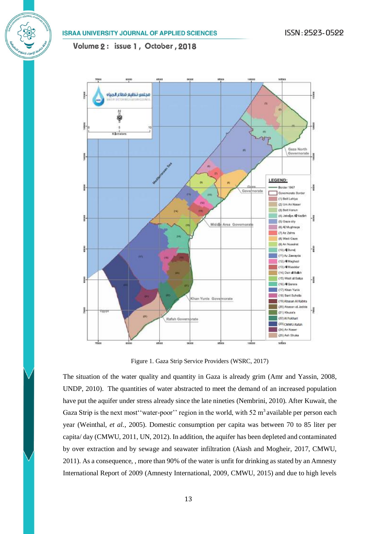

Figure 1. Gaza Strip Service Providers (WSRC, 2017)

The situation of the water quality and quantity in Gaza is already grim (Amr and Yassin, 2008, UNDP, 2010). The quantities of water abstracted to meet the demand of an increased population have put the aquifer under stress already since the late nineties (Nembrini, 2010). After Kuwait, the Gaza Strip is the next most 'water-poor'' region in the world, with  $52 \text{ m}^3$  available per person each year (Weinthal*, et al.*, 2005). Domestic consumption per capita was between 70 to 85 liter per capita/ day (CMWU, 2011, UN, 2012). In addition, the aquifer has been depleted and contaminated by over extraction and by sewage and seawater infiltration (Aiash and Mogheir, 2017, CMWU, 2011). As a consequence, , more than 90% of the water is unfit for drinking as stated by an Amnesty International Report of 2009 (Amnesty International, 2009, CMWU, 2015) and due to high levels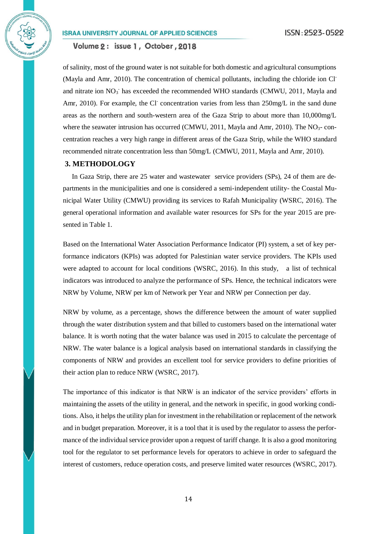Volume 2: issue 1, October, 2018

of salinity, most of the ground water is not suitable for both domestic and agricultural consumptions (Mayla and Amr, 2010). The concentration of chemical pollutants, including the chloride ion Cland nitrate ion  $NO_3^-$  has exceeded the recommended WHO standards (CMWU, 2011, Mayla and Amr, 2010). For example, the Cl<sup>-</sup> concentration varies from less than 250mg/L in the sand dune areas as the northern and south-western area of the Gaza Strip to about more than 10,000mg/L where the seawater intrusion has occurred (CMWU, 2011, Mayla and Amr, 2010). The  $NO<sub>3</sub>$ -concentration reaches a very high range in different areas of the Gaza Strip, while the WHO standard recommended nitrate concentration less than 50mg/L (CMWU, 2011, Mayla and Amr, 2010).

#### **3. METHODOLOGY**

In Gaza Strip, there are 25 water and wastewater service providers (SPs), 24 of them are departments in the municipalities and one is considered a semi-independent utility- the Coastal Municipal Water Utility (CMWU) providing its services to Rafah Municipality (WSRC, 2016). The general operational information and available water resources for SPs for the year 2015 are presented in Table 1.

Based on the International Water Association Performance Indicator (PI) system, a set of key performance indicators (KPIs) was adopted for Palestinian water service providers. The KPIs used were adapted to account for local conditions (WSRC, 2016). In this study, a list of technical indicators was introduced to analyze the performance of SPs. Hence, the technical indicators were NRW by Volume, NRW per km of Network per Year and NRW per Connection per day.

NRW by volume, as a percentage, shows the difference between the amount of water supplied through the water distribution system and that billed to customers based on the international water balance. It is worth noting that the water balance was used in 2015 to calculate the percentage of NRW. The water balance is a logical analysis based on international standards in classifying the components of NRW and provides an excellent tool for service providers to define priorities of their action plan to reduce NRW (WSRC, 2017).

The importance of this indicator is that NRW is an indicator of the service providers' efforts in maintaining the assets of the utility in general, and the network in specific, in good working conditions. Also, it helps the utility plan for investment in the rehabilitation or replacement of the network and in budget preparation. Moreover, it is a tool that it is used by the regulator to assess the performance of the individual service provider upon a request of tariff change. It is also a good monitoring tool for the regulator to set performance levels for operators to achieve in order to safeguard the interest of customers, reduce operation costs, and preserve limited water resources (WSRC, 2017).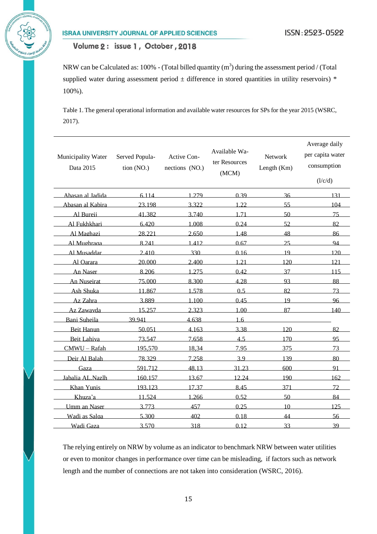Volume 2: issue 1, October, 2018

NRW can be Calculated as: 100% - (Total billed quantity  $(m^3)$  during the assessment period / (Total supplied water during assessment period  $\pm$  difference in stored quantities in utility reservoirs) \* 100%).

Table 1. The general operational information and available water resources for SPs for the year 2015 (WSRC, 2017).

| Municipality Water<br>Data 2015 | Served Popula-<br>tion (NO.) | Active Con-<br>nections (NO.) | Available Wa-<br>ter Resources<br>(MCM) | Network<br>Length $(Km)$ | Average daily<br>per capita water<br>consumption<br>(l/c/d) |
|---------------------------------|------------------------------|-------------------------------|-----------------------------------------|--------------------------|-------------------------------------------------------------|
| Abasan al Iadida                | 6 1 1 4                      | 1 279                         | 0.39                                    | 36                       | 131                                                         |
| Abasan al Kabira                | 23.198                       | 3.322                         | 1.22                                    | 55                       | 104                                                         |
| Al Bureii                       | 41.382                       | 3.740                         | 1.71                                    | 50                       | 75                                                          |
| Al Fukhkhari                    | 6.420                        | 1.008                         | 0.24                                    | 52                       | 82                                                          |
| Al Maghazi                      | 28.221                       | 2.650                         | 1.48                                    | 48                       | 86                                                          |
| Al Mughraga                     | 8.241                        | 1412                          | 0.67                                    | 25                       | 94                                                          |
| Al Musaddar                     | 2.410                        | 330                           | 0.16                                    | 19                       | 120                                                         |
| Al Oarara                       | 20,000                       | 2.400                         | 1.21                                    | 120                      | 121                                                         |
| An Naser                        | 8.206                        | 1.275                         | 0.42                                    | 37                       | 115                                                         |
| <b>An Nuseirat</b>              | 75,000                       | 8.300                         | 4.28                                    | 93                       | 88                                                          |
| Ash Shuka                       | 11.867                       | 1.578                         | 0.5                                     | 82                       | 73                                                          |
| Az Zahra                        | 3.889                        | 1.100                         | 0.45                                    | 19                       | 96                                                          |
| Az Zawayda                      | 15.257                       | 2.323                         | 1.00                                    | 87                       | 140                                                         |
| Bani Suheila                    | 39.941                       | 4.638                         | 1.6                                     |                          |                                                             |
| <b>Beit Hanun</b>               | 50.051                       | 4.163                         | 3.38                                    | 120                      | 82                                                          |
| Beit Lahiva                     | 73.547                       | 7.658                         | 4.5                                     | 170                      | 95                                                          |
| CMWU-Rafah                      | 195,570                      | 18,34                         | 7.95                                    | 375                      | 73                                                          |
| Deir Al Balah                   | 78.329                       | 7.258                         | 3.9                                     | 139                      | 80                                                          |
| Gaza                            | 591.712                      | 48.13                         | 31.23                                   | 600                      | 91                                                          |
| Jabalia AL.Nazlh                | 160.157                      | 13.67                         | 12.24                                   | 190                      | 162                                                         |
| Khan Yunis                      | 193.123                      | 17.37                         | 8.45                                    | 371                      | 72                                                          |
| Khuza'a                         | 11.524                       | 1.266                         | 0.52                                    | 50                       | 84                                                          |
| <b>Umm</b> an Naser             | 3.773                        | 457                           | 0.25                                    | 10                       | 125                                                         |
| Wadi as Salga                   | 5.300                        | 402                           | 0.18                                    | 44                       | 56                                                          |
| Wadi Gaza                       | 3.570                        | 318                           | 0.12                                    | 33                       | 39                                                          |

The relying entirely on NRW by volume as an indicator to benchmark NRW between water utilities or even to monitor changes in performance over time can be misleading, if factors such as network length and the number of connections are not taken into consideration (WSRC, 2016).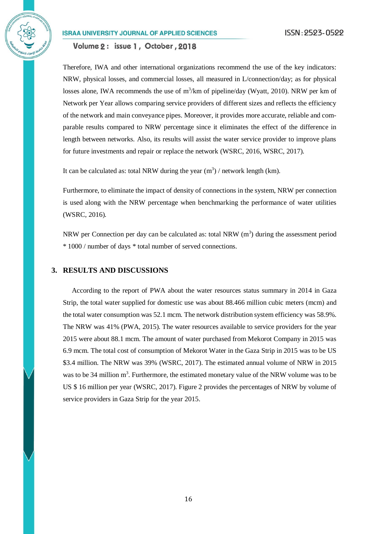Volume 2: issue 1, October, 2018

Therefore, IWA and other international organizations recommend the use of the key indicators: NRW, physical losses, and commercial losses, all measured in L/connection/day; as for physical losses alone, IWA recommends the use of  $m^3/km$  of pipeline/day (Wyatt, 2010). NRW per km of Network per Year allows comparing service providers of different sizes and reflects the efficiency of the network and main conveyance pipes. Moreover, it provides more accurate, reliable and comparable results compared to NRW percentage since it eliminates the effect of the difference in length between networks. Also, its results will assist the water service provider to improve plans for future investments and repair or replace the network (WSRC, 2016, WSRC, 2017).

It can be calculated as: total NRW during the year  $(m^3)$  / network length (km).

Furthermore, to eliminate the impact of density of connections in the system, NRW per connection is used along with the NRW percentage when benchmarking the performance of water utilities (WSRC, 2016).

NRW per Connection per day can be calculated as: total NRW  $(m<sup>3</sup>)$  during the assessment period \* 1000 / number of days \* total number of served connections.

### **3. RESULTS AND DISCUSSIONS**

According to the report of PWA about the water resources status summary in 2014 in Gaza Strip, the total water supplied for domestic use was about 88.466 million cubic meters (mcm) and the total water consumption was 52.1 mcm. The network distribution system efficiency was 58.9%. The NRW was 41% (PWA, 2015). The water resources available to service providers for the year 2015 were about 88.1 mcm. The amount of water purchased from Mekorot Company in 2015 was 6.9 mcm. The total cost of consumption of Mekorot Water in the Gaza Strip in 2015 was to be US \$3.4 million. The NRW was 39% (WSRC, 2017). The estimated annual volume of NRW in 2015 was to be 34 million m<sup>3</sup>. Furthermore, the estimated monetary value of the NRW volume was to be US \$ 16 million per year (WSRC, 2017). Figure 2 provides the percentages of NRW by volume of service providers in Gaza Strip for the year 2015.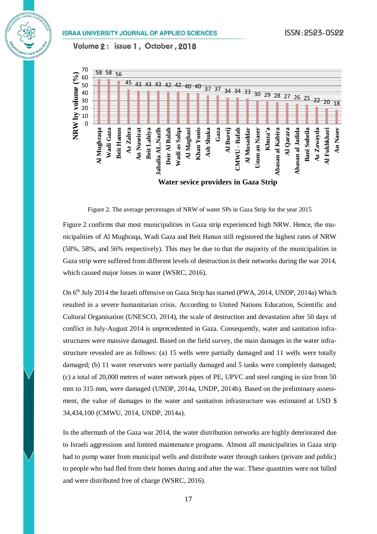Volume 2: issue 1, October, 2018



Figure 2. The average percentages of NRW of water SPs in Gaza Strip for the year 2015

Figure 2 confirms that most municipalities in Gaza strip experienced high NRW. Hence, the municipalities of Al Mughraqa, Wadi Gaza and Beit Hanun still registered the highest rates of NRW (58%, 58%, and 56% respectively). This may be due to that the majority of the municipalities in Gaza strip were suffered from different levels of destruction in their networks during the war 2014, which caused major losses in water (WSRC, 2016).

On 6<sup>th</sup> July 2014 the Israeli offensive on Gaza Strip has started (PWA, 2014, UNDP, 2014a) Which resulted in a severe humanitarian crisis. According to United Nations Education, Scientific and Cultural Organisation (UNESCO, 2014), the scale of destruction and devastation after 50 days of conflict in July-August 2014 is unprecedented in Gaza. Consequently, water and sanitation infrastructures were massive damaged. Based on the field survey, the main damages in the water infrastructure revealed are as follows: (a) 15 wells were partially damaged and 11 wells were totally damaged; (b) 11 water reservoirs were partially damaged and 5 tanks were completely damaged; (c) a total of 20,000 metres of water network pipes of PE, UPVC and steel ranging in size from 50 mm to 315 mm, were damaged (UNDP, 2014a, UNDP, 2014b). Based on the preliminary assessment, the value of damages to the water and sanitation infrastructure was estimated at USD \$ 34,434,100 (CMWU, 2014, UNDP, 2014a).

In the aftermath of the Gaza war 2014, the water distribution networks are highly deteriorated due to Israeli aggressions and limited maintenance programs. Almost all municipalities in Gaza strip had to pump water from municipal wells and distribute water through tankers (private and public) to people who had fled from their homes during and after the war. These quantities were not billed and were distributed free of charge (WSRC, 2016).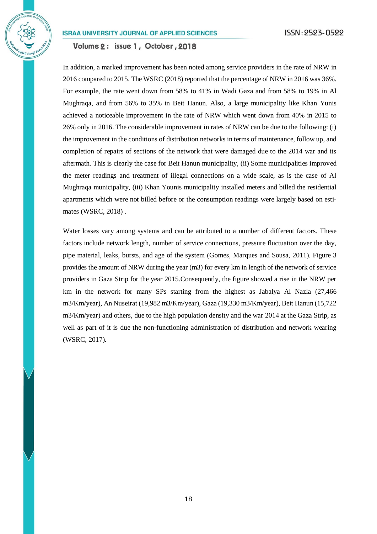Volume 2: issue 1, October, 2018

In addition, a marked improvement has been noted among service providers in the rate of NRW in 2016 compared to 2015. The WSRC (2018) reported that the percentage of NRW in 2016 was 36%. For example, the rate went down from 58% to 41% in Wadi Gaza and from 58% to 19% in Al Mughraqa, and from 56% to 35% in Beit Hanun. Also, a large municipality like Khan Yunis achieved a noticeable improvement in the rate of NRW which went down from 40% in 2015 to 26% only in 2016. The considerable improvement in rates of NRW can be due to the following: (i) the improvement in the conditions of distribution networks in terms of maintenance, follow up, and completion of repairs of sections of the network that were damaged due to the 2014 war and its aftermath. This is clearly the case for Beit Hanun municipality, (ii) Some municipalities improved the meter readings and treatment of illegal connections on a wide scale, as is the case of Al Mughraqa municipality, (iii) Khan Younis municipality installed meters and billed the residential apartments which were not billed before or the consumption readings were largely based on estimates (WSRC, 2018) .

Water losses vary among systems and can be attributed to a number of different factors. These factors include network length, number of service connections, pressure fluctuation over the day, pipe material, leaks, bursts, and age of the system (Gomes, Marques and Sousa, 2011). Figure 3 provides the amount of NRW during the year (m3) for every km in length of the network of service providers in Gaza Strip for the year 2015.Consequently, the figure showed a rise in the NRW per km in the network for many SPs starting from the highest as Jabalya Al Nazla (27,466 m3/Km/year), An Nuseirat (19,982 m3/Km/year), Gaza (19,330 m3/Km/year), Beit Hanun (15,722 m3/Km/year) and others, due to the high population density and the war 2014 at the Gaza Strip, as well as part of it is due the non-functioning administration of distribution and network wearing (WSRC, 2017).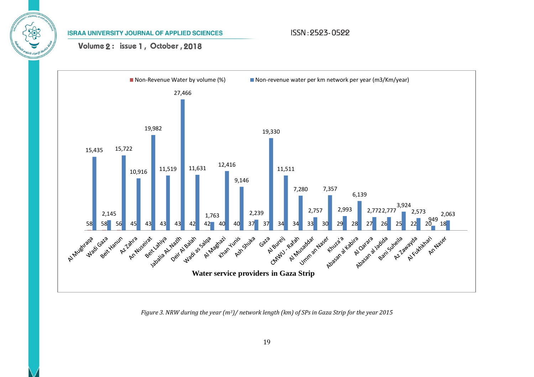# ISSN: 2523-0522

Volume 2: issue 1, October, 2018



*Figure 3. NRW during the year (m3)/ network length (km) of SPs in Gaza Strip for the year 2015*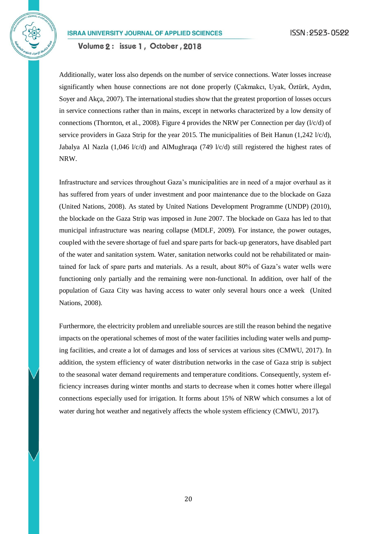Additionally, water loss also depends on the number of service connections. Water losses increase significantly when house connections are not done properly (Çakmakcı, Uyak, Öztürk, Aydın, Soyer and Akça, 2007). The international studies show that the greatest proportion of losses occurs in service connections rather than in mains, except in networks characterized by a low density of connections (Thornton, et al., 2008). Figure 4 provides the NRW per Connection per day  $(l/c/d)$  of service providers in Gaza Strip for the year 2015. The municipalities of Beit Hanun (1,242 l/c/d), Jabalya Al Nazla  $(1,046 \text{ }1/c/d)$  and AlMughraqa  $(749 \text{ }1/c/d)$  still registered the highest rates of NRW.

Infrastructure and services throughout Gaza's municipalities are in need of a major overhaul as it has suffered from years of under investment and poor maintenance due to the blockade on Gaza (United Nations, 2008). As stated by United Nations Development Programme (UNDP) (2010), the blockade on the Gaza Strip was imposed in June 2007. The blockade on Gaza has led to that municipal infrastructure was nearing collapse (MDLF, 2009). For instance, the power outages, coupled with the severe shortage of fuel and spare parts for back-up generators, have disabled part of the water and sanitation system. Water, sanitation networks could not be rehabilitated or maintained for lack of spare parts and materials. As a result, about 80% of Gaza's water wells were functioning only partially and the remaining were non-functional. In addition, over half of the population of Gaza City was having access to water only several hours once a week (United Nations, 2008).

Furthermore, the electricity problem and unreliable sources are still the reason behind the negative impacts on the operational schemes of most of the water facilities including water wells and pumping facilities, and create a lot of damages and loss of services at various sites (CMWU, 2017). In addition, the system efficiency of water distribution networks in the case of Gaza strip is subject to the seasonal water demand requirements and temperature conditions. Consequently, system efficiency increases during winter months and starts to decrease when it comes hotter where illegal connections especially used for irrigation. It forms about 15% of NRW which consumes a lot of water during hot weather and negatively affects the whole system efficiency (CMWU, 2017).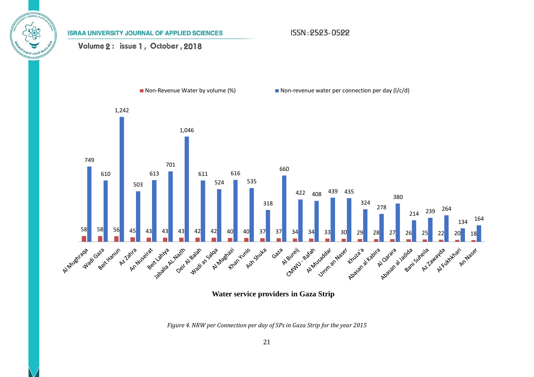ISSN: 2523-0522

# Volume 2: issue 1, October, 2018



**Water service providers in Gaza Strip**

*Figure 4. NRW per Connection per day of SPs in Gaza Strip for the year 2015*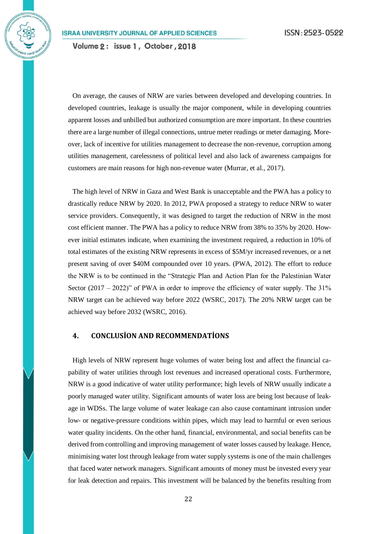On average, the causes of NRW are varies between developed and developing countries. In developed countries, leakage is usually the major component, while in developing countries apparent losses and unbilled but authorized consumption are more important. In these countries there are a large number of illegal connections, untrue meter readings or meter damaging. Moreover, lack of incentive for utilities management to decrease the non-revenue, corruption among utilities management, carelessness of political level and also lack of awareness campaigns for customers are main reasons for high non-revenue water (Murrar, et al., 2017).

The high level of NRW in Gaza and West Bank is unacceptable and the PWA has a policy to drastically reduce NRW by 2020. In 2012, PWA proposed a strategy to reduce NRW to water service providers. Consequently, it was designed to target the reduction of NRW in the most cost efficient manner. The PWA has a policy to reduce NRW from 38% to 35% by 2020. However initial estimates indicate, when examining the investment required, a reduction in 10% of total estimates of the existing NRW represents in excess of \$5M/yr increased revenues, or a net present saving of over \$40M compounded over 10 years. (PWA, 2012). The effort to reduce the NRW is to be continued in the "Strategic Plan and Action Plan for the Palestinian Water Sector  $(2017 - 2022)$ " of PWA in order to improve the efficiency of water supply. The 31% NRW target can be achieved way before 2022 (WSRC, 2017). The 20% NRW target can be achieved way before 2032 (WSRC, 2016).

# **4. CONCLUSİON AND RECOMMENDATİONS**

High levels of NRW represent huge volumes of water being lost and affect the financial capability of water utilities through lost revenues and increased operational costs. Furthermore, NRW is a good indicative of water utility performance; high levels of NRW usually indicate a poorly managed water utility. Significant amounts of water loss are being lost because of leakage in WDSs. The large volume of water leakage can also cause contaminant intrusion under low- or negative-pressure conditions within pipes, which may lead to harmful or even serious water quality incidents. On the other hand, financial, environmental, and social benefits can be derived from controlling and improving management of water losses caused by leakage. Hence, minimising water lost through leakage from water supply systems is one of the main challenges that faced water network managers. Significant amounts of money must be invested every year for leak detection and repairs. This investment will be balanced by the benefits resulting from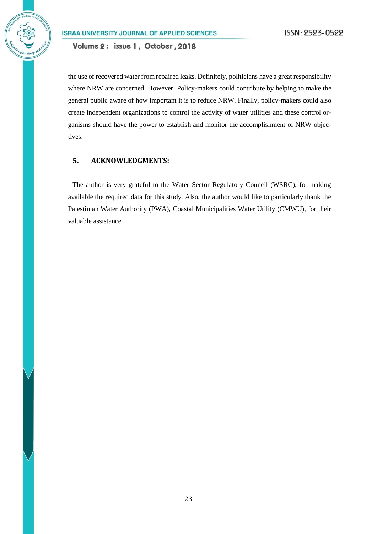Volume 2: issue 1, October, 2018

the use of recovered water from repaired leaks. Definitely, politicians have a great responsibility where NRW are concerned. However, Policy-makers could contribute by helping to make the general public aware of how important it is to reduce NRW. Finally, policy-makers could also create independent organizations to control the activity of water utilities and these control organisms should have the power to establish and monitor the accomplishment of NRW objectives.

### **5. ACKNOWLEDGMENTS:**

The author is very grateful to the Water Sector Regulatory Council (WSRC), for making available the required data for this study. Also, the author would like to particularly thank the Palestinian Water Authority (PWA), Coastal Municipalities Water Utility (CMWU), for their valuable assistance.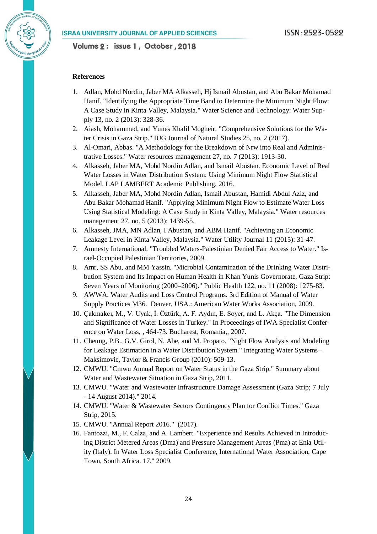#### **References**

- 1. Adlan, Mohd Nordin, Jaber MA Alkasseh, Hj Ismail Abustan, and Abu Bakar Mohamad Hanif. "Identifying the Appropriate Time Band to Determine the Minimum Night Flow: A Case Study in Kinta Valley, Malaysia." Water Science and Technology: Water Supply 13, no. 2 (2013): 328-36.
- 2. Aiash, Mohammed, and Yunes Khalil Mogheir. "Comprehensive Solutions for the Water Crisis in Gaza Strip." IUG Journal of Natural Studies 25, no. 2 (2017).
- 3. Al-Omari, Abbas. "A Methodology for the Breakdown of Nrw into Real and Administrative Losses." Water resources management 27, no. 7 (2013): 1913-30.
- 4. Alkasseh, Jaber MA, Mohd Nordin Adlan, and Ismail Abustan. Economic Level of Real Water Losses in Water Distribution System: Using Minimum Night Flow Statistical Model. LAP LAMBERT Academic Publishing, 2016.
- 5. Alkasseh, Jaber MA, Mohd Nordin Adlan, Ismail Abustan, Hamidi Abdul Aziz, and Abu Bakar Mohamad Hanif. "Applying Minimum Night Flow to Estimate Water Loss Using Statistical Modeling: A Case Study in Kinta Valley, Malaysia." Water resources management 27, no. 5 (2013): 1439-55.
- 6. Alkasseh, JMA, MN Adlan, I Abustan, and ABM Hanif. "Achieving an Economic Leakage Level in Kinta Valley, Malaysia." Water Utility Journal 11 (2015): 31-47.
- 7. Amnesty International. "Troubled Waters-Palestinian Denied Fair Access to Water." Israel-Occupied Palestinian Territories, 2009.
- 8. Amr, SS Abu, and MM Yassin. "Microbial Contamination of the Drinking Water Distribution System and Its Impact on Human Health in Khan Yunis Governorate, Gaza Strip: Seven Years of Monitoring (2000–2006)." Public Health 122, no. 11 (2008): 1275-83.
- 9. AWWA. Water Audits and Loss Control Programs. 3rd Edition of Manual of Water Supply Practices M36. Denver, USA.: American Water Works Association, 2009.
- 10. Çakmakcı, M., V. Uyak, İ. Öztürk, A. F. Aydın, E. Soyer, and L. Akça. "The Dimension and Significance of Water Losses in Turkey." In Proceedings of IWA Specialist Conference on Water Loss, , 464-73. Bucharest, Romania,, 2007.
- 11. Cheung, P.B., G.V. Girol, N. Abe, and M. Propato. "Night Flow Analysis and Modeling for Leakage Estimation in a Water Distribution System." Integrating Water Systems– Maksimovic, Taylor & Francis Group (2010): 509-13.
- 12. CMWU. "Cmwu Annual Report on Water Status in the Gaza Strip." Summary about Water and Wastewater Situation in Gaza Strip, 2011.
- 13. CMWU. "Water and Wastewater Infrastructure Damage Assessment (Gaza Strip; 7 July - 14 August 2014)." 2014.
- 14. CMWU. "Water & Wastewater Sectors Contingency Plan for Conflict Times." Gaza Strip, 2015.
- 15. CMWU. "Annual Report 2016." (2017).
- 16. Fantozzi, M., F. Calza, and A. Lambert. "Experience and Results Achieved in Introducing District Metered Areas (Dma) and Pressure Management Areas (Pma) at Enia Utility (Italy). In Water Loss Specialist Conference, International Water Association, Cape Town, South Africa. 17." 2009.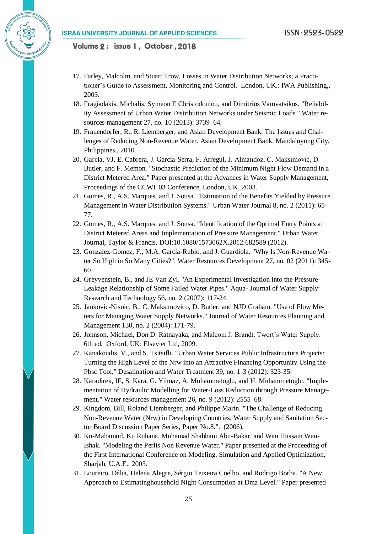- 17. Farley, Malcolm, and Stuart Trow. Losses in Water Distribution Networks; a Practitioner's Guide to Assessment, Monitoring and Control. London, UK.: IWA Publishing,, 2003.
- 18. Fragiadakis, Michalis, Symeon E Christodoulou, and Dimitrios Vamvatsikos. "Reliability Assessment of Urban Water Distribution Networks under Seismic Loads." Water resources management 27, no. 10 (2013): 3739–64.
- 19. Frauendorfer, R., R. Liemberger, and Asian Development Bank. The Issues and Challenges of Reducing Non-Revenue Water. Asian Development Bank, Mandaluyong City, Philippines., 2010.
- 20. Garcia, VJ, E. Cabrera, J. Garcia-Serra, F. Arregui, J. Almandoz, C. Maksimović, D. Butler, and F. Memon. "Stochastic Prediction of the Minimum Night Flow Demand in a District Metered Area." Paper presented at the Advances in Water Supply Management, Proceedings of the CCWI '03 Conference, London, UK, 2003.
- 21. Gomes, R., A.S. Marques, and J. Sousa. "Estimation of the Benefits Yielded by Pressure Management in Water Distribution Systems." Urban Water Journal 8, no. 2 (2011): 65- 77.
- 22. Gomes, R., A.S. Marques, and J. Sousa. "Identification of the Optimal Entry Points at District Metered Areas and Implementation of Pressure Management." Urban Water Journal, Taylor & Francis, DOI:10.1080/1573062X.2012.682589 (2012).
- 23. Gonzalez-Gomez, F., M.A. García-Rubio, and J. Guardiola. "Why Is Non-Revenue Water So High in So Many Cities?". Water Resources Development 27, no. 02 (2011): 345- 60.
- 24. Greyvenstein, B., and JE Van Zyl. "An Experimental Investigation into the Pressure-Leakage Relationship of Some Failed Water Pipes." Aqua- Journal of Water Supply: Research and Technology 56, no. 2 (2007): 117-24.
- 25. Jankovic-Nisoic, B., C. Maksimovico, D. Butler, and NJD Graham. "Use of Flow Meters for Managing Water Supply Networks." Journal of Water Resources Planning and Management 130, no. 2 (2004): 171-79.
- 26. Johnson, Michael, Don D. Ratnayaka, and Malcom J. Brandt. Twort's Water Supply. 6th ed. Oxford, UK: Elsevier Ltd, 2009.
- 27. Kanakoudis, V., and S. Tsitsifli. "Urban Water Services Public Infrastructure Projects: Turning the High Level of the Nrw into an Attractive Financing Opportunity Using the Pbsc Tool." Desalination and Water Treatment 39, no. 1-3 (2012): 323-35.
- 28. Karadirek, IE, S. Kara, G. Yilmaz, A. Muhammetoglu, and H. Muhammetoglu. "Implementation of Hydraulic Modelling for Water-Loss Reduction through Pressure Management." Water resources management 26, no. 9 (2012): 2555–68.
- 29. Kingdom, Bill, Roland Liemberger, and Philippe Marin. "The Challenge of Reducing Non-Revenue Water (Nrw) in Developing Countries, Water Supply and Sanitation Sector Board Discussion Paper Series, Paper No.8.". (2006).
- 30. Ku-Mahamud, Ku Ruhana, Muhamad Shahbani Abu-Bakar, and Wan Hussain Wan-Ishak. "Modeling the Perlis Non Revenue Water." Paper presented at the Proceeding of the First International Conference on Modeling, Simulation and Applied Optimization, Sharjah, U.A.E., 2005.
- 31. Loureiro, Dália, Helena Alegre, Sérgio Teixeira Coelho, and Rodrigo Borba. "A New Approach to Estimatinghousehold Night Consumption at Dma Level." Paper presented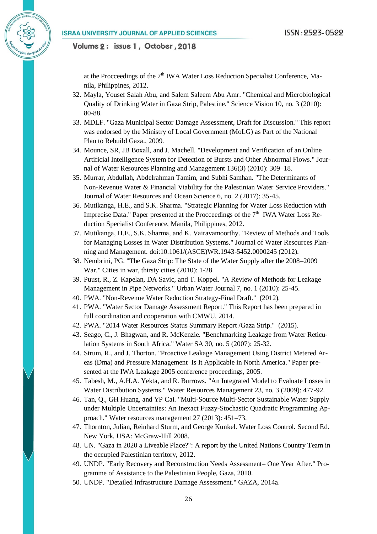at the Procceedings of the  $7<sup>th</sup> IWA$  Water Loss Reduction Specialist Conference, Manila, Philippines, 2012.

- 32. Mayla, Yousef Salah Abu, and Salem Saleem Abu Amr. "Chemical and Microbiological Quality of Drinking Water in Gaza Strip, Palestine." Science Vision 10, no. 3 (2010): 80-88.
- 33. MDLF. "Gaza Municipal Sector Damage Assessment, Draft for Discussion." This report was endorsed by the Ministry of Local Government (MoLG) as Part of the National Plan to Rebuild Gaza., 2009.
- 34. Mounce, SR, JB Boxall, and J. Machell. "Development and Verification of an Online Artificial Intelligence System for Detection of Bursts and Other Abnormal Flows." Journal of Water Resources Planning and Management 136(3) (2010): 309–18.
- 35. Murrar, Abdullah, Abdelrahman Tamim, and Subhi Samhan. "The Determinants of Non-Revenue Water & Financial Viability for the Palestinian Water Service Providers." Journal of Water Resources and Ocean Science 6, no. 2 (2017): 35-45.
- 36. Mutikanga, H.E., and S.K. Sharma. "Strategic Planning for Water Loss Reduction with Imprecise Data." Paper presented at the Procceedings of the  $7<sup>th</sup>$  IWA Water Loss Reduction Specialist Conference, Manila, Philippines, 2012.
- 37. Mutikanga, H.E., S.K. Sharma, and K. Vairavamoorthy. "Review of Methods and Tools for Managing Losses in Water Distribution Systems." Journal of Water Resources Planning and Management. doi:10.1061/(ASCE)WR.1943-5452.0000245 (2012).
- 38. Nembrini, PG. "The Gaza Strip: The State of the Water Supply after the 2008–2009 War." Cities in war, thirsty cities (2010): 1-28.
- 39. Puust, R., Z. Kapelan, DA Savic, and T. Koppel. "A Review of Methods for Leakage Management in Pipe Networks." Urban Water Journal 7, no. 1 (2010): 25-45.
- 40. PWA. "Non-Revenue Water Reduction Strategy-Final Draft." (2012).
- 41. PWA. "Water Sector Damage Assessment Report." This Report has been prepared in full coordination and cooperation with CMWU, 2014.
- 42. PWA. "2014 Water Resources Status Summary Report /Gaza Strip." (2015).
- 43. Seago, C., J. Bhagwan, and R. McKenzie. "Benchmarking Leakage from Water Reticulation Systems in South Africa." Water SA 30, no. 5 (2007): 25-32.
- 44. Strum, R., and J. Thorton. "Proactive Leakage Management Using District Metered Areas (Dma) and Pressure Management–Is It Applicable in North America." Paper presented at the IWA Leakage 2005 conference proceedings, 2005.
- 45. Tabesh, M., A.H.A. Yekta, and R. Burrows. "An Integrated Model to Evaluate Losses in Water Distribution Systems." Water Resources Management 23, no. 3 (2009): 477-92.
- 46. Tan, Q., GH Huang, and YP Cai. "Multi-Source Multi-Sector Sustainable Water Supply under Multiple Uncertainties: An Inexact Fuzzy-Stochastic Quadratic Programming Approach." Water resources management 27 (2013): 451–73.
- 47. Thornton, Julian, Reinhard Sturm, and George Kunkel. Water Loss Control. Second Ed. New York, USA: McGraw-Hill 2008.
- 48. UN. "Gaza in 2020 a Liveable Place?": A report by the United Nations Country Team in the occupied Palestinian territory, 2012.
- 49. UNDP. "Early Recovery and Reconstruction Needs Assessment– One Year After." Programme of Assistance to the Palestinian People, Gaza, 2010.
- 50. UNDP. "Detailed Infrastructure Damage Assessment." GAZA, 2014a.